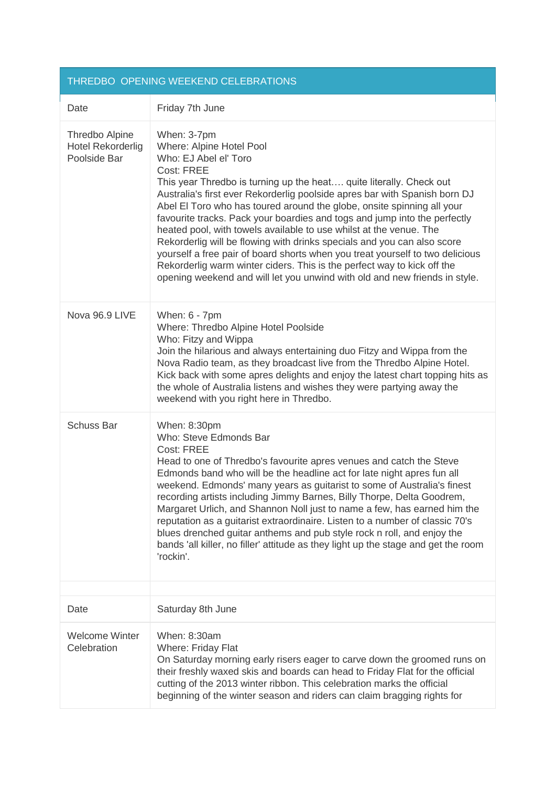|                                                            | THREDBO OPENING WEEKEND CELEBRATIONS                                                                                                                                                                                                                                                                                                                                                                                                                                                                                                                                                                                                                                                                                                                                                  |
|------------------------------------------------------------|---------------------------------------------------------------------------------------------------------------------------------------------------------------------------------------------------------------------------------------------------------------------------------------------------------------------------------------------------------------------------------------------------------------------------------------------------------------------------------------------------------------------------------------------------------------------------------------------------------------------------------------------------------------------------------------------------------------------------------------------------------------------------------------|
| Date                                                       | Friday 7th June                                                                                                                                                                                                                                                                                                                                                                                                                                                                                                                                                                                                                                                                                                                                                                       |
| Thredbo Alpine<br><b>Hotel Rekorderlig</b><br>Poolside Bar | When: 3-7pm<br>Where: Alpine Hotel Pool<br>Who: EJ Abel el' Toro<br>Cost: FREE<br>This year Thredbo is turning up the heat quite literally. Check out<br>Australia's first ever Rekorderlig poolside apres bar with Spanish born DJ<br>Abel El Toro who has toured around the globe, onsite spinning all your<br>favourite tracks. Pack your boardies and togs and jump into the perfectly<br>heated pool, with towels available to use whilst at the venue. The<br>Rekorderlig will be flowing with drinks specials and you can also score<br>yourself a free pair of board shorts when you treat yourself to two delicious<br>Rekorderlig warm winter ciders. This is the perfect way to kick off the<br>opening weekend and will let you unwind with old and new friends in style. |
| Nova 96.9 LIVE                                             | When: 6 - 7pm<br>Where: Thredbo Alpine Hotel Poolside<br>Who: Fitzy and Wippa<br>Join the hilarious and always entertaining duo Fitzy and Wippa from the<br>Nova Radio team, as they broadcast live from the Thredbo Alpine Hotel.<br>Kick back with some apres delights and enjoy the latest chart topping hits as<br>the whole of Australia listens and wishes they were partying away the<br>weekend with you right here in Thredbo.                                                                                                                                                                                                                                                                                                                                               |
| <b>Schuss Bar</b>                                          | When: 8:30pm<br>Who: Steve Edmonds Bar<br>Cost: FREE<br>Head to one of Thredbo's favourite apres venues and catch the Steve<br>Edmonds band who will be the headline act for late night apres fun all<br>weekend. Edmonds' many years as guitarist to some of Australia's finest<br>recording artists including Jimmy Barnes, Billy Thorpe, Delta Goodrem,<br>Margaret Urlich, and Shannon Noll just to name a few, has earned him the<br>reputation as a guitarist extraordinaire. Listen to a number of classic 70's<br>blues drenched guitar anthems and pub style rock n roll, and enjoy the<br>bands 'all killer, no filler' attitude as they light up the stage and get the room<br>'rockin'.                                                                                   |
| Date                                                       | Saturday 8th June                                                                                                                                                                                                                                                                                                                                                                                                                                                                                                                                                                                                                                                                                                                                                                     |
| <b>Welcome Winter</b><br>Celebration                       | When: 8:30am<br>Where: Friday Flat<br>On Saturday morning early risers eager to carve down the groomed runs on<br>their freshly waxed skis and boards can head to Friday Flat for the official<br>cutting of the 2013 winter ribbon. This celebration marks the official<br>beginning of the winter season and riders can claim bragging rights for                                                                                                                                                                                                                                                                                                                                                                                                                                   |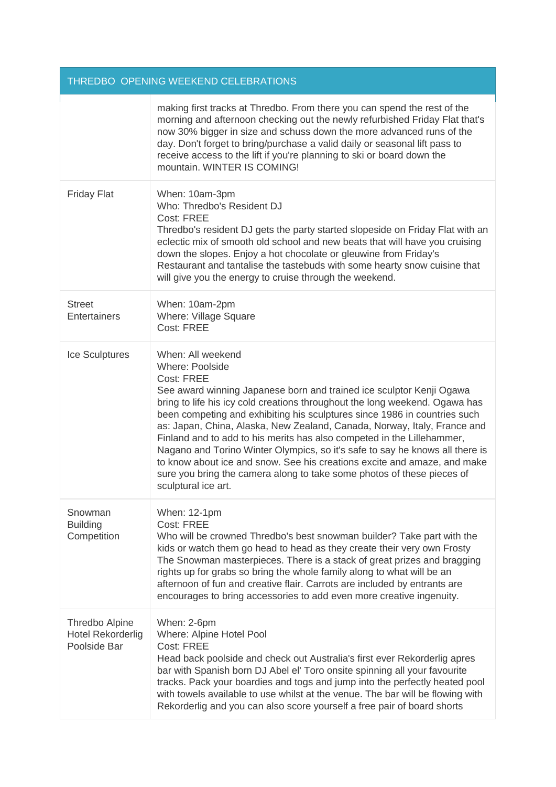| THREDBO OPENING WEEKEND CELEBRATIONS                       |                                                                                                                                                                                                                                                                                                                                                                                                                                                                                                                                                                                                                                                                                                           |
|------------------------------------------------------------|-----------------------------------------------------------------------------------------------------------------------------------------------------------------------------------------------------------------------------------------------------------------------------------------------------------------------------------------------------------------------------------------------------------------------------------------------------------------------------------------------------------------------------------------------------------------------------------------------------------------------------------------------------------------------------------------------------------|
|                                                            | making first tracks at Thredbo. From there you can spend the rest of the<br>morning and afternoon checking out the newly refurbished Friday Flat that's<br>now 30% bigger in size and schuss down the more advanced runs of the<br>day. Don't forget to bring/purchase a valid daily or seasonal lift pass to<br>receive access to the lift if you're planning to ski or board down the<br>mountain. WINTER IS COMING!                                                                                                                                                                                                                                                                                    |
| <b>Friday Flat</b>                                         | When: 10am-3pm<br>Who: Thredbo's Resident DJ<br>Cost: FREE<br>Thredbo's resident DJ gets the party started slopeside on Friday Flat with an<br>eclectic mix of smooth old school and new beats that will have you cruising<br>down the slopes. Enjoy a hot chocolate or gleuwine from Friday's<br>Restaurant and tantalise the tastebuds with some hearty snow cuisine that<br>will give you the energy to cruise through the weekend.                                                                                                                                                                                                                                                                    |
| <b>Street</b><br>Entertainers                              | When: 10am-2pm<br><b>Where: Village Square</b><br>Cost: FREE                                                                                                                                                                                                                                                                                                                                                                                                                                                                                                                                                                                                                                              |
| Ice Sculptures                                             | When: All weekend<br>Where: Poolside<br>Cost: FREE<br>See award winning Japanese born and trained ice sculptor Kenji Ogawa<br>bring to life his icy cold creations throughout the long weekend. Ogawa has<br>been competing and exhibiting his sculptures since 1986 in countries such<br>as: Japan, China, Alaska, New Zealand, Canada, Norway, Italy, France and<br>Finland and to add to his merits has also competed in the Lillehammer,<br>Nagano and Torino Winter Olympics, so it's safe to say he knows all there is<br>to know about ice and snow. See his creations excite and amaze, and make<br>sure you bring the camera along to take some photos of these pieces of<br>sculptural ice art. |
| Snowman<br><b>Building</b><br>Competition                  | When: 12-1pm<br>Cost: FREE<br>Who will be crowned Thredbo's best snowman builder? Take part with the<br>kids or watch them go head to head as they create their very own Frosty<br>The Snowman masterpieces. There is a stack of great prizes and bragging<br>rights up for grabs so bring the whole family along to what will be an<br>afternoon of fun and creative flair. Carrots are included by entrants are<br>encourages to bring accessories to add even more creative ingenuity.                                                                                                                                                                                                                 |
| Thredbo Alpine<br><b>Hotel Rekorderlig</b><br>Poolside Bar | When: 2-6pm<br>Where: Alpine Hotel Pool<br>Cost: FREE<br>Head back poolside and check out Australia's first ever Rekorderlig apres<br>bar with Spanish born DJ Abel el' Toro onsite spinning all your favourite<br>tracks. Pack your boardies and togs and jump into the perfectly heated pool<br>with towels available to use whilst at the venue. The bar will be flowing with<br>Rekorderlig and you can also score yourself a free pair of board shorts                                                                                                                                                                                                                                               |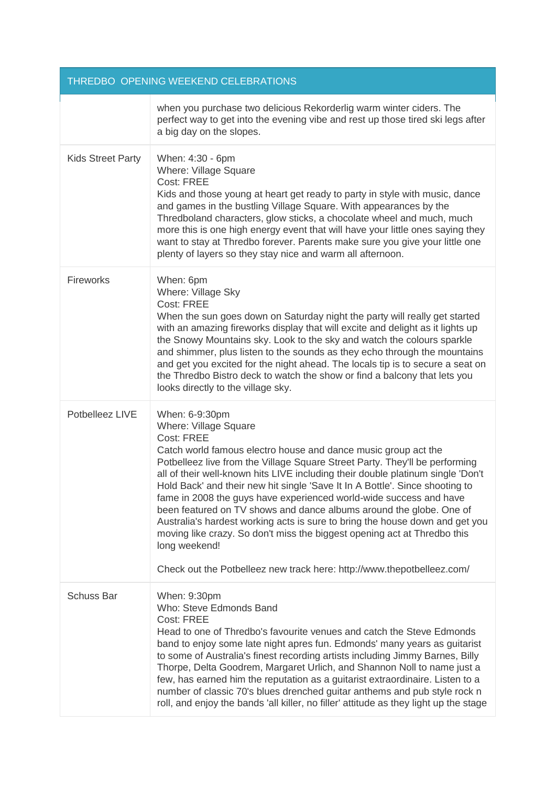| THREDBO OPENING WEEKEND CELEBRATIONS |                                                                                                                                                                                                                                                                                                                                                                                                                                                                                                                                                                                                                                                                                                                                                                               |
|--------------------------------------|-------------------------------------------------------------------------------------------------------------------------------------------------------------------------------------------------------------------------------------------------------------------------------------------------------------------------------------------------------------------------------------------------------------------------------------------------------------------------------------------------------------------------------------------------------------------------------------------------------------------------------------------------------------------------------------------------------------------------------------------------------------------------------|
|                                      | when you purchase two delicious Rekorderlig warm winter ciders. The<br>perfect way to get into the evening vibe and rest up those tired ski legs after<br>a big day on the slopes.                                                                                                                                                                                                                                                                                                                                                                                                                                                                                                                                                                                            |
| <b>Kids Street Party</b>             | When: 4:30 - 6pm<br><b>Where: Village Square</b><br><b>Cost: FREE</b><br>Kids and those young at heart get ready to party in style with music, dance<br>and games in the bustling Village Square. With appearances by the<br>Thredboland characters, glow sticks, a chocolate wheel and much, much<br>more this is one high energy event that will have your little ones saying they<br>want to stay at Thredbo forever. Parents make sure you give your little one<br>plenty of layers so they stay nice and warm all afternoon.                                                                                                                                                                                                                                             |
| Fireworks                            | When: 6pm<br>Where: Village Sky<br>Cost: FREE<br>When the sun goes down on Saturday night the party will really get started<br>with an amazing fireworks display that will excite and delight as it lights up<br>the Snowy Mountains sky. Look to the sky and watch the colours sparkle<br>and shimmer, plus listen to the sounds as they echo through the mountains<br>and get you excited for the night ahead. The locals tip is to secure a seat on<br>the Thredbo Bistro deck to watch the show or find a balcony that lets you<br>looks directly to the village sky.                                                                                                                                                                                                     |
| Potbelleez LIVE                      | When: 6-9:30pm<br>Where: Village Square<br>Cost: FREE<br>Catch world famous electro house and dance music group act the<br>Potbelleez live from the Village Square Street Party. They'll be performing<br>all of their well-known hits LIVE including their double platinum single 'Don't<br>Hold Back' and their new hit single 'Save It In A Bottle'. Since shooting to<br>fame in 2008 the guys have experienced world-wide success and have<br>been featured on TV shows and dance albums around the globe. One of<br>Australia's hardest working acts is sure to bring the house down and get you<br>moving like crazy. So don't miss the biggest opening act at Thredbo this<br>long weekend!<br>Check out the Potbelleez new track here: http://www.thepotbelleez.com/ |
| <b>Schuss Bar</b>                    | When: 9:30pm<br>Who: Steve Edmonds Band<br>Cost: FREE<br>Head to one of Thredbo's favourite venues and catch the Steve Edmonds<br>band to enjoy some late night apres fun. Edmonds' many years as guitarist<br>to some of Australia's finest recording artists including Jimmy Barnes, Billy<br>Thorpe, Delta Goodrem, Margaret Urlich, and Shannon Noll to name just a<br>few, has earned him the reputation as a guitarist extraordinaire. Listen to a<br>number of classic 70's blues drenched guitar anthems and pub style rock n<br>roll, and enjoy the bands 'all killer, no filler' attitude as they light up the stage                                                                                                                                                |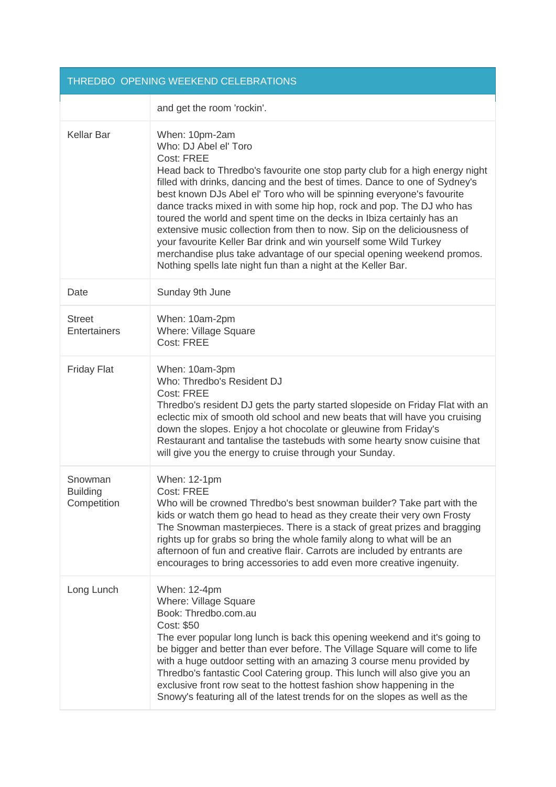| THREDBO OPENING WEEKEND CELEBRATIONS      |                                                                                                                                                                                                                                                                                                                                                                                                                                                                                                                                                                                                                                                                                                                                               |  |
|-------------------------------------------|-----------------------------------------------------------------------------------------------------------------------------------------------------------------------------------------------------------------------------------------------------------------------------------------------------------------------------------------------------------------------------------------------------------------------------------------------------------------------------------------------------------------------------------------------------------------------------------------------------------------------------------------------------------------------------------------------------------------------------------------------|--|
|                                           | and get the room 'rockin'.                                                                                                                                                                                                                                                                                                                                                                                                                                                                                                                                                                                                                                                                                                                    |  |
| <b>Kellar Bar</b>                         | When: 10pm-2am<br>Who: DJ Abel el' Toro<br>Cost: FREE<br>Head back to Thredbo's favourite one stop party club for a high energy night<br>filled with drinks, dancing and the best of times. Dance to one of Sydney's<br>best known DJs Abel el' Toro who will be spinning everyone's favourite<br>dance tracks mixed in with some hip hop, rock and pop. The DJ who has<br>toured the world and spent time on the decks in Ibiza certainly has an<br>extensive music collection from then to now. Sip on the deliciousness of<br>your favourite Keller Bar drink and win yourself some Wild Turkey<br>merchandise plus take advantage of our special opening weekend promos.<br>Nothing spells late night fun than a night at the Keller Bar. |  |
| Date                                      | Sunday 9th June                                                                                                                                                                                                                                                                                                                                                                                                                                                                                                                                                                                                                                                                                                                               |  |
| <b>Street</b><br>Entertainers             | When: 10am-2pm<br><b>Where: Village Square</b><br>Cost: FREE                                                                                                                                                                                                                                                                                                                                                                                                                                                                                                                                                                                                                                                                                  |  |
| <b>Friday Flat</b>                        | When: 10am-3pm<br>Who: Thredbo's Resident DJ<br>Cost: FREE<br>Thredbo's resident DJ gets the party started slopeside on Friday Flat with an<br>eclectic mix of smooth old school and new beats that will have you cruising<br>down the slopes. Enjoy a hot chocolate or gleuwine from Friday's<br>Restaurant and tantalise the tastebuds with some hearty snow cuisine that<br>will give you the energy to cruise through your Sunday.                                                                                                                                                                                                                                                                                                        |  |
| Snowman<br><b>Building</b><br>Competition | When: 12-1pm<br>Cost: FREE<br>Who will be crowned Thredbo's best snowman builder? Take part with the<br>kids or watch them go head to head as they create their very own Frosty<br>The Snowman masterpieces. There is a stack of great prizes and bragging<br>rights up for grabs so bring the whole family along to what will be an<br>afternoon of fun and creative flair. Carrots are included by entrants are<br>encourages to bring accessories to add even more creative ingenuity.                                                                                                                                                                                                                                                     |  |
| Long Lunch                                | When: 12-4pm<br>Where: Village Square<br>Book: Thredbo.com.au<br>Cost: \$50<br>The ever popular long lunch is back this opening weekend and it's going to<br>be bigger and better than ever before. The Village Square will come to life<br>with a huge outdoor setting with an amazing 3 course menu provided by<br>Thredbo's fantastic Cool Catering group. This lunch will also give you an<br>exclusive front row seat to the hottest fashion show happening in the<br>Snowy's featuring all of the latest trends for on the slopes as well as the                                                                                                                                                                                        |  |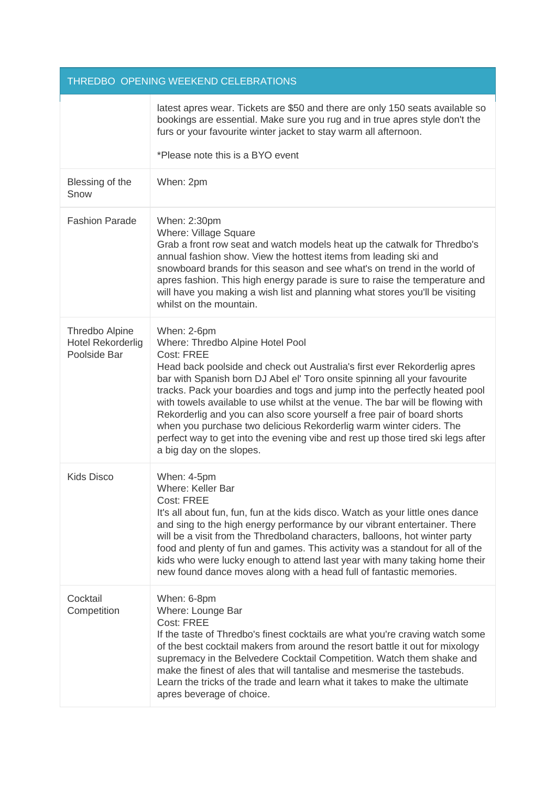| THREDBO OPENING WEEKEND CELEBRATIONS                       |                                                                                                                                                                                                                                                                                                                                                                                                                                                                                                                                                                                                                                                                  |  |
|------------------------------------------------------------|------------------------------------------------------------------------------------------------------------------------------------------------------------------------------------------------------------------------------------------------------------------------------------------------------------------------------------------------------------------------------------------------------------------------------------------------------------------------------------------------------------------------------------------------------------------------------------------------------------------------------------------------------------------|--|
|                                                            | latest apres wear. Tickets are \$50 and there are only 150 seats available so<br>bookings are essential. Make sure you rug and in true apres style don't the<br>furs or your favourite winter jacket to stay warm all afternoon.                                                                                                                                                                                                                                                                                                                                                                                                                                 |  |
|                                                            | *Please note this is a BYO event                                                                                                                                                                                                                                                                                                                                                                                                                                                                                                                                                                                                                                 |  |
| Blessing of the<br>Snow                                    | When: 2pm                                                                                                                                                                                                                                                                                                                                                                                                                                                                                                                                                                                                                                                        |  |
| <b>Fashion Parade</b>                                      | When: 2:30pm<br><b>Where: Village Square</b><br>Grab a front row seat and watch models heat up the catwalk for Thredbo's<br>annual fashion show. View the hottest items from leading ski and<br>snowboard brands for this season and see what's on trend in the world of<br>apres fashion. This high energy parade is sure to raise the temperature and<br>will have you making a wish list and planning what stores you'll be visiting<br>whilst on the mountain.                                                                                                                                                                                               |  |
| Thredbo Alpine<br><b>Hotel Rekorderlig</b><br>Poolside Bar | When: 2-6pm<br>Where: Thredbo Alpine Hotel Pool<br><b>Cost: FREE</b><br>Head back poolside and check out Australia's first ever Rekorderlig apres<br>bar with Spanish born DJ Abel el' Toro onsite spinning all your favourite<br>tracks. Pack your boardies and togs and jump into the perfectly heated pool<br>with towels available to use whilst at the venue. The bar will be flowing with<br>Rekorderlig and you can also score yourself a free pair of board shorts<br>when you purchase two delicious Rekorderlig warm winter ciders. The<br>perfect way to get into the evening vibe and rest up those tired ski legs after<br>a big day on the slopes. |  |
| <b>Kids Disco</b>                                          | When: 4-5pm<br>Where: Keller Bar<br><b>Cost: FREE</b><br>It's all about fun, fun, fun at the kids disco. Watch as your little ones dance<br>and sing to the high energy performance by our vibrant entertainer. There<br>will be a visit from the Thredboland characters, balloons, hot winter party<br>food and plenty of fun and games. This activity was a standout for all of the<br>kids who were lucky enough to attend last year with many taking home their<br>new found dance moves along with a head full of fantastic memories.                                                                                                                       |  |
| Cocktail<br>Competition                                    | When: 6-8pm<br>Where: Lounge Bar<br>Cost: FREE<br>If the taste of Thredbo's finest cocktails are what you're craving watch some<br>of the best cocktail makers from around the resort battle it out for mixology<br>supremacy in the Belvedere Cocktail Competition. Watch them shake and<br>make the finest of ales that will tantalise and mesmerise the tastebuds.<br>Learn the tricks of the trade and learn what it takes to make the ultimate<br>apres beverage of choice.                                                                                                                                                                                 |  |